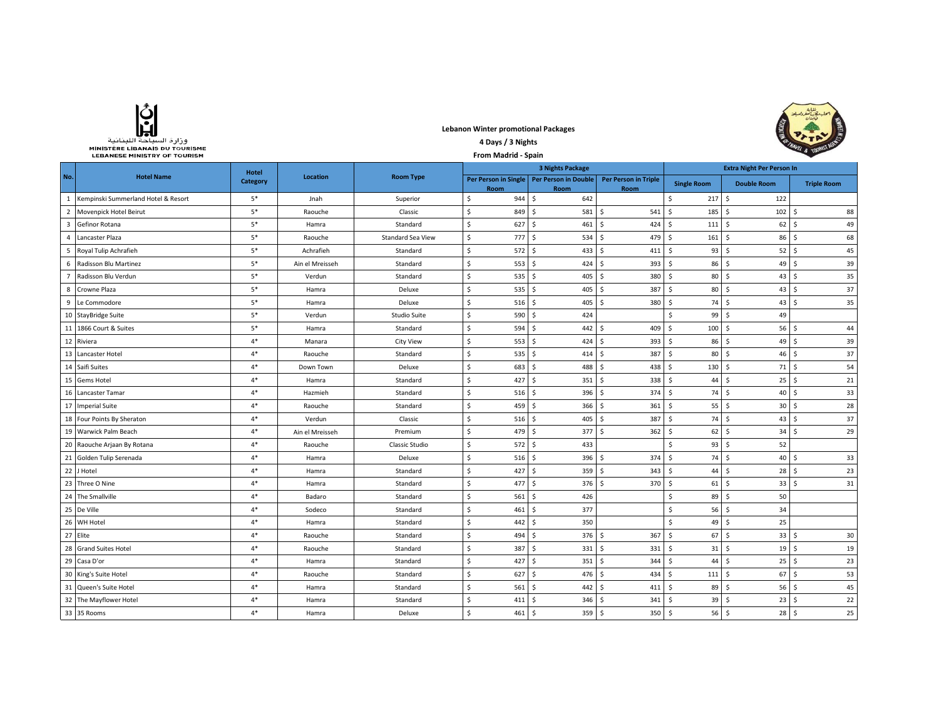| وزارة السياحة اللينانية               |
|---------------------------------------|
| <b>MINISTÈRE LIBANAIS DU TOURISME</b> |
| <b>LEBANESE MINISTRY OF TOURISM</b>   |

## **Lebanon Winter promotional Packages**



## **4 Days / 3 Nights From Madrid - Spain**

|                | <b>Hotel Name</b>                     | Hotel<br><b>Category</b> | Location        | <b>Room Type</b>    | <b>3 Nights Package</b> |                              |     |                                            |                                     | <b>Extra Night Per Person In</b> |      |                           |            |                    |
|----------------|---------------------------------------|--------------------------|-----------------|---------------------|-------------------------|------------------------------|-----|--------------------------------------------|-------------------------------------|----------------------------------|------|---------------------------|------------|--------------------|
| No.            |                                       |                          |                 |                     |                         | Per Person in Single<br>Room |     | <b>Per Person in Double</b><br><b>Room</b> | <b>Per Person in Triple</b><br>Room | <b>Single Room</b>               |      | <b>Double Room</b>        |            | <b>Triple Room</b> |
|                | 1 Kempinski Summerland Hotel & Resort | $5*$                     | Jnah            | Superior            | \$                      | 944                          | \$  | 642                                        |                                     | Ŝ.                               | 217S | 122                       |            |                    |
|                | 2 Movenpick Hotel Beirut              | $5*$                     | Raouche         | Classic             | \$                      | 849                          | \$  | 581                                        | \$<br>541                           | 185<br>- Ś                       |      | -\$<br>102                | \$         | 88                 |
|                | 3 Gefinor Rotana                      | $5*$                     | Hamra           | Standard            | Ŝ.                      | 627                          | l\$ | 461                                        | Ŝ<br>424                            | $\mathsf{S}$<br>111              |      | $\ddot{\varsigma}$<br>62  | \$         | 49                 |
|                | 4 Lancaster Plaza                     | $5*$                     | Raouche         | Standard Sea View   | \$                      | 777                          | Ś   | 534                                        | 479<br>\$.                          | 161<br>- \$                      |      | 86<br>-\$                 | \$         | 68                 |
|                | 5 Royal Tulip Achrafieh               | $5*$                     | Achrafieh       | Standard            | $\mathsf{\hat{S}}$      | 572                          | Ś   | 433                                        | Ŝ.<br>411                           | S.                               | 93   | S.<br>52                  | \$         | 45                 |
|                | 6 Radisson Blu Martinez               | $5^\ast$                 | Ain el Mreisseh | Standard            | $\mathsf{S}$            | 553                          | \$. | 424                                        | Ŝ.<br>393                           | - Ś                              | 86   | S.<br>49                  | \$         | 39                 |
| $\overline{7}$ | Radisson Blu Verdun                   | $5*$                     | Verdun          | Standard            | \$                      | 535                          | \$  | 405                                        | \$.<br>380                          | \$.                              | 80   | \$<br>43                  | \$         | 35                 |
|                | 8 Crowne Plaza                        | $5*$                     | Hamra           | Deluxe              | Ŝ.                      | 535                          | \$. | 405                                        | Ŝ.<br>387                           | -Ś                               | 80   | -\$<br>43                 | \$         | 37                 |
|                | 9 Le Commodore                        | $5^\ast$                 | Hamra           | Deluxe              | $\mathsf{S}$            | 516                          | Ś   | 405                                        | s.<br>380                           | <sup>5</sup>                     | 74   | S.<br>43                  | \$         | 35                 |
|                | 10 StayBridge Suite                   | $5*$                     | Verdun          | <b>Studio Suite</b> | \$                      | 590                          | \$  | 424                                        |                                     | Ŝ.                               | 99   | -\$<br>49                 |            |                    |
|                | 11 1866 Court & Suites                | $5*$                     | Hamra           | Standard            | \$                      | 594                          | Ś   | 442                                        | \$<br>409                           | 100<br>- Ś                       |      | -\$<br>56                 | \$         | 44                 |
|                | 12 Riviera                            | $4*$                     | Manara          | <b>City View</b>    | Ŝ.                      | 553                          | \$  | 424                                        | Ŝ.<br>393                           | -\$                              | 86   | $\ddot{\varsigma}$<br>49  | \$         | 39                 |
|                | 13 Lancaster Hotel                    | $4*$                     | Raouche         | Standard            | \$                      | 535                          | \$. | 414                                        | 387<br>-Ś                           | -\$                              | 80   | -\$<br>46                 | \$         | 37                 |
|                | 14 Saifi Suites                       | $4*$                     | Down Town       | Deluxe              | $\mathsf{S}$            | 683                          | \$. | 488                                        | Ŝ.<br>438                           | 130<br>-Ś                        |      | 71<br>-\$                 | \$         | 54                 |
|                | 15 Gems Hotel                         | $4*$                     | Hamra           | Standard            | Ŝ.                      | 427                          | Ś   | 351                                        | Ŝ.<br>338                           | -Ś                               | 44   | 25<br>-\$                 | \$         | 21                 |
|                | 16 Lancaster Tamar                    | $4*$                     | Hazmieh         | Standard            | Ŝ.                      | 516                          | Ś.  | 396                                        | \$<br>374                           | Ŝ.                               | 74   | \$<br>40                  | Ŝ.         | 33                 |
|                | 17 Imperial Suite                     | $4*$                     | Raouche         | Standard            | Ŝ.                      | 459                          | \$. | 366                                        | <b>S</b><br>361                     | -Ś                               | 55   | 30<br>-\$                 | \$         | 28                 |
|                | 18 Four Points By Sheraton            | $4*$                     | Verdun          | Classic             | $\mathsf{S}$            | 516                          | Ś   | 405                                        | Ŝ.<br>387                           | <sup>5</sup>                     | 74   | S.<br>43                  | \$         | 37                 |
|                | 19 Warwick Palm Beach                 | $4*$                     | Ain el Mreisseh | Premium             | $\mathsf{S}$            | 479                          | Ŝ.  | 377                                        | Ŝ<br>362                            | - Ś                              | 62   | -\$<br>34                 | \$         | 29                 |
|                | 20 Raouche Arjaan By Rotana           | $4*$                     | Raouche         | Classic Studio      | \$                      | 572                          | \$  | 433                                        |                                     | $\zeta$                          | 93   | 52<br>$\ddot{\varsigma}$  |            |                    |
|                | 21 Golden Tulip Serenada              | $4*$                     | Hamra           | Deluxe              | $\mathsf{S}$            | 516                          | \$  | 396                                        | Ŝ.<br>374                           | Ŝ.                               | 74   | \$<br>40                  | \$         | 33                 |
|                | 22 J Hotel                            | $4*$                     | Hamra           | Standard            | Ŝ.                      | 427                          | Ś   | 359                                        | 343<br>Ŝ.                           | -Ś                               | 44   | S.<br>28                  | \$         | 23                 |
|                | 23 Three O Nine                       | $4*$                     | Hamra           | Standard            | $\zeta$                 | 477                          | \$  | 376                                        | Ŝ<br>370                            | - Ś                              | 61   | \$<br>33                  | \$         | 31                 |
|                | 24 The Smallville                     | $4*$                     | Badaro          | Standard            | \$                      | 561                          | \$  | 426                                        |                                     | Ŝ.                               | 89   | 50<br>\$                  |            |                    |
|                | 25 De Ville                           | $4*$                     | Sodeco          | Standard            | Ŝ.                      | 461                          | Ś.  | 377                                        |                                     | \$                               | 56   | \$<br>34                  |            |                    |
|                | 26 WH Hotel                           | $4*$                     | Hamra           | Standard            | Ŝ.                      | 442                          | Ś   | 350                                        |                                     | Ŝ.                               | 49   | 25<br>-\$                 |            |                    |
|                | 27 Elite                              | $4*$                     | Raouche         | Standard            | $\mathsf{S}$            | 494                          | Ś   | 376                                        | Ŝ.<br>367                           | Ŝ.                               | 67   | $\mathsf{\hat{S}}$<br>33  | \$         | 30                 |
|                | 28 Grand Suites Hotel                 | $4*$                     | Raouche         | Standard            | Ŝ.                      | 387                          | S.  | 331                                        | Ŝ.<br>331                           | S.                               | 31   | -\$<br>19                 | \$         | 19                 |
|                | 29 Casa D'or                          | $4*$                     | Hamra           | Standard            | \$                      | 427                          | l\$ | 351                                        | \$<br>344                           | - Ś                              | 44   | \$<br>25                  | \$         | 23                 |
|                | 30 King's Suite Hotel                 | $4*$                     | Raouche         | Standard            | \$                      | 627                          | \$  | 476                                        | Ŝ.<br>434                           | 111<br>Ŝ.                        |      | $\ddot{\mathsf{S}}$<br>67 | \$         | 53                 |
|                | 31 Queen's Suite Hotel                | $4*$                     | Hamra           | Standard            | Ŝ.                      | 561                          | Ś   | 442                                        | Ŝ.<br>411                           | S.                               | 89   | S.<br>56                  | \$         | 45                 |
|                | 32 The Mayflower Hotel                | $4*$                     | Hamra           | Standard            | \$                      | 411                          | \$  | 346                                        | \$<br>341                           | -\$                              | 39   | 23<br>-\$                 | \$         | 22                 |
|                | 33 35 Rooms                           | $4*$                     | Hamra           | Deluxe              | $\mathsf{S}$            | $461 \,$ \$                  |     | $359$ \$                                   | 350                                 | s.                               | 56   | $\mathsf{S}$              | $28 \quad$ | 25                 |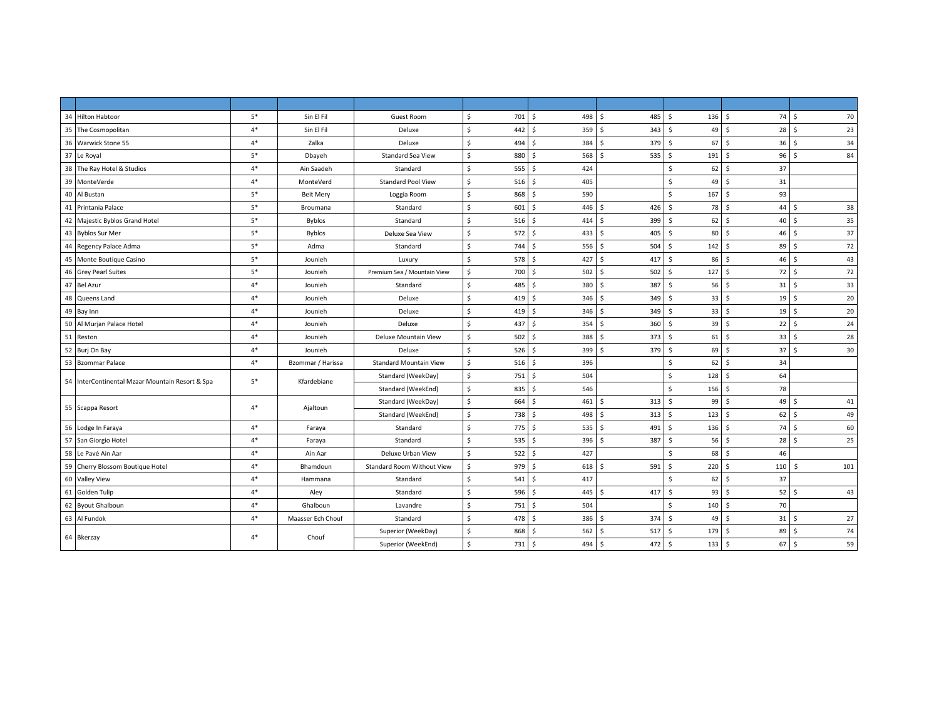| 34 Hilton Habtoor                               | $5*$ | Sin El Fil        | <b>Guest Room</b>             | Ś.<br>701S           | 498 \$                       | 485            | 136<br>- Ś                | 74S<br>-\$                        | 70                 |
|-------------------------------------------------|------|-------------------|-------------------------------|----------------------|------------------------------|----------------|---------------------------|-----------------------------------|--------------------|
| 35 The Cosmopolitan                             | $4*$ | Sin El Fil        | Deluxe                        | \$<br>442            | \$<br>359 <sup>5</sup>       | 343            | 49<br>-\$                 | \$<br>$28 \quad 5$                | 23                 |
| 36 Warwick Stone 55                             | $4*$ | Zalka             | Deluxe                        | \$<br>494            | \$<br>384                    | 379<br>-Ŝ      | 67<br>l \$                | \$<br>36                          | $\zeta$<br>34      |
| 37 Le Royal                                     | $5*$ | Dbayeh            | Standard Sea View             | \$<br>880            | Š.<br>568                    | 535<br>$\zeta$ | 191<br>-\$                | \$<br>96                          | $\zeta$<br>84      |
| 38 The Ray Hotel & Studios                      | $4*$ | Ain Saadeh        | Standard                      | \$<br>555            | \$<br>424                    |                | 62<br>\$                  | \$<br>37                          |                    |
| 39 MonteVerde                                   | $4*$ | MonteVerd         | <b>Standard Pool View</b>     | \$<br>516            | \$<br>405                    |                | \$<br>49                  | \$<br>31                          |                    |
| 40 Al Bustan                                    | $5*$ | <b>Beit Mery</b>  | Loggia Room                   | \$<br>868            | \$<br>590                    |                | <b>S</b><br>167           | 93<br>\$                          |                    |
| 41 Printania Palace                             | $5*$ | Broumana          | Standard                      | \$<br>601            | Š.<br>446 \$                 | 426            | s.<br>78                  | <b>S</b><br>44                    | \$<br>38           |
| 42 Majestic Byblos Grand Hotel                  | $5*$ | <b>Byblos</b>     | Standard                      | $\mathsf{s}$<br>516  | S.<br>414S                   | 399            | 62<br>S.                  | S.                                | $40 \quad$<br>35   |
| 43 Byblos Sur Mer                               | $5*$ | <b>Byblos</b>     | Deluxe Sea View               | \$<br>$572 \quad$ \$ | 433                          | 405<br>l \$    | $\ddot{\mathsf{s}}$<br>80 | $46 \quad$<br>\$                  | 37                 |
| 44 Regency Palace Adma                          | $5*$ | Adma              | Standard                      | \$<br>744            | \$<br>556                    | 504<br>-Ŝ      | - Ś<br>142                | S.<br>89                          | l \$<br>72         |
| 45 Monte Boutique Casino                        | $5*$ | Jounieh           | Luxury                        | \$<br>578            | $\frac{1}{2}$<br>427         | Ŝ.<br>417      | S.<br>86                  | Ŝ.                                | $46 \quad S$<br>43 |
| 46 Grey Pearl Suites                            | $5*$ | Jounieh           | Premium Sea / Mountain View   | \$<br>700            | \$<br>502                    | 502<br>۱s      | 127<br>- Ś                | $72$ \$<br>Ŝ.                     | 72                 |
| 47 Bel Azur                                     | $4*$ | Jounieh           | Standard                      | \$<br>485            | \$<br>380 \$                 | 387            | 56<br>-\$                 | $31$ $\sqrt{5}$<br>S.             | 33                 |
| 48 Queens Land                                  | $4*$ | Jounieh           | Deluxe                        | \$<br>419            | Ś.<br>346                    | 349<br>-S      | \$<br>33                  | \$<br>19                          | $\zeta$<br>20      |
| 49 Bay Inn                                      | $4*$ | Jounieh           | Deluxe                        | \$<br>419            | \$<br>346                    | 349<br>-\$     | s.<br>33                  | $19$ \$<br>S.                     | 20                 |
| 50 Al Murjan Palace Hotel                       | $4*$ | Jounieh           | Deluxe                        | \$<br>437            | l \$<br>354                  | 360<br>l s     | 39<br>-\$                 | S.<br>$22 \mid 5$                 | 24                 |
| 51 Reston                                       | $4*$ | Jounieh           | Deluxe Mountain View          | \$<br>502            | $\mathsf{S}$<br>388          | 373<br>-Ŝ      | l \$<br>61                | \$<br>$33 \mid 5$                 | 28                 |
| 52 Burj On Bay                                  | $4*$ | Jounieh           | Deluxe                        | \$<br>526            | \$<br>399                    | 379<br>Ŝ.      | 69<br>-\$                 | \$<br>37                          | $\zeta$<br>30      |
| 53 Bzommar Palace                               | $4*$ | Bzommar / Harissa | <b>Standard Mountain View</b> | \$<br>516            | \$<br>396                    |                | 62<br>\$                  | \$<br>34                          |                    |
| 54 InterContinental Mzaar Mountain Resort & Spa | $5*$ | Kfardebiane       | Standard (WeekDay)            | \$<br>751            | \$<br>504                    |                | 128<br>Ŝ.                 | S.<br>64                          |                    |
|                                                 |      |                   | Standard (WeekEnd)            | \$<br>835            | Ś.<br>546                    |                | Ś.<br>156                 | <b>S</b><br>78                    |                    |
| 55 Scappa Resort                                | $4*$ |                   | Standard (WeekDay)            | \$<br>664            | Š.<br>461                    | 313<br>- Ś     | $\dot{\mathsf{s}}$<br>99  | S.<br>49                          | \$<br>41           |
|                                                 |      | Ajaltoun          | Standard (WeekEnd)            | \$<br>738            | Ŝ.<br>498 \$                 | 313            | S.<br>123                 | $62 \mid 5$<br><b>S</b>           | 49                 |
| 56 Lodge In Faraya                              | $4*$ | Faraya            | Standard                      | \$<br>775            | \$<br>535S                   | 491            | -\$<br>136                | 74S<br>S.                         | 60                 |
| 57 San Giorgio Hotel                            | $4*$ | Faraya            | Standard                      | \$<br>535            | \$<br>396                    | 387<br>-Ŝ      | $\mathsf{S}$<br>56        | \$<br>28 <sub>5</sub>             | 25                 |
| 58 Le Pavé Ain Aar                              | $4*$ | Ain Aar           | Deluxe Urban View             | \$<br>522            | Ś.<br>427                    |                | Ŝ.<br>68                  | <b>S</b><br>46                    |                    |
| 59 Cherry Blossom Boutique Hotel                | $4*$ | Bhamdoun          | Standard Room Without View    | \$<br>979            | $\sim$ 5<br>618 <sup>5</sup> | 591            | 220<br>- Ś                | Ŝ.<br>110                         | Ŝ.<br>101          |
| 60 Valley View                                  | $4*$ | Hammana           | Standard                      | Ŝ.<br>541            | Ŝ.<br>417                    |                | Ŝ.<br>62                  | S.<br>37                          |                    |
| 61 Golden Tulip                                 | $4*$ | Aley              | Standard                      | \$<br>596            | \$<br>445                    | 417<br>-Ŝ      | $\mathsf{S}$<br>93        | \$<br>$52 \mid 5$                 | 43                 |
| 62 Byout Ghalboun                               | $4*$ | Ghalboun          | Lavandre                      | Ŝ.<br>751            | \$<br>504                    |                | Ŝ.<br>140                 | S.<br>70                          |                    |
| 63 Al Fundok                                    | $4*$ | Maasser Ech Chouf | Standard                      | \$<br>478            | $\mathsf{S}$<br>386          | 374<br>- Ś     | \$<br>49                  | \$<br>$31 \quad$                  | 27                 |
| 64 Bkerzay                                      | $4*$ | Chouf             | Superior (WeekDay)            | \$<br>868            | \$<br>562                    | 517<br>-Ŝ      | 179<br>-\$                | S.<br>89                          | 74<br>\$           |
|                                                 |      |                   | Superior (WeekEnd)            | \$<br>$731 \;$ \$    | 494 \$                       | 472            | 5<br>133                  | $67 \quad$<br>$\ddot{\mathsf{s}}$ | 59                 |